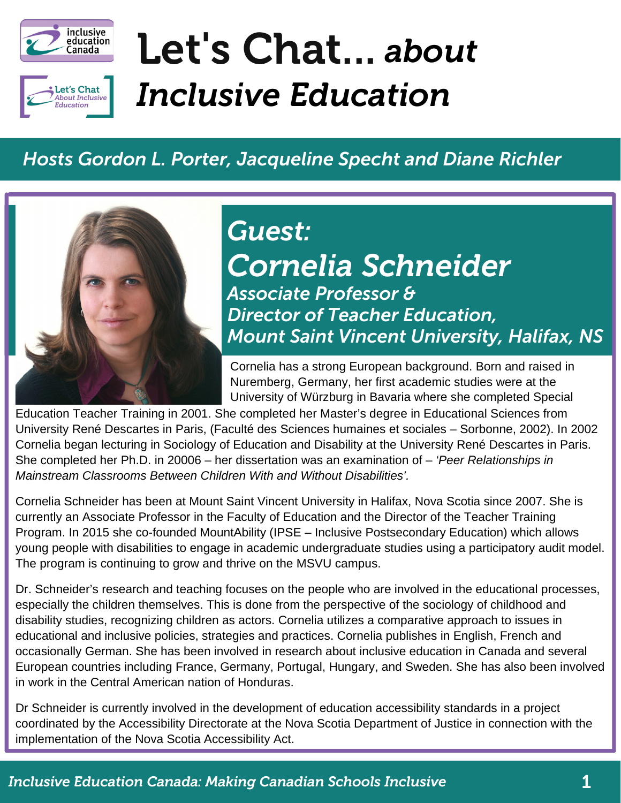



# Let's Chat... *about Inclusive Education*

#### *Hosts Gordon L. Porter, Jacqueline Specht and Diane Richler*



## *Cornelia Schneider Associate Professor & Director of Teacher Education, Mount Saint Vincent University, Halifax, NS Guest:*

Cornelia has a strong European background. Born and raised in Nuremberg, Germany, her first academic studies were at the University of Würzburg in Bavaria where she completed Special

Education Teacher Training in 2001. She completed her Master's degree in Educational Sciences from University René Descartes in Paris, (Faculté des Sciences humaines et sociales – Sorbonne, 2002). In 2002 Cornelia began lecturing in Sociology of Education and Disability at the University René Descartes in Paris. She completed her Ph.D. in 20006 – her dissertation was an examination of – *'Peer Relationships in Mainstream Classrooms Between Children With and Without Disabilities'.*

Cornelia Schneider has been at Mount Saint Vincent University in Halifax, Nova Scotia since 2007. She is currently an Associate Professor in the Faculty of Education and the Director of the Teacher Training Program. In 2015 she co-founded MountAbility (IPSE – Inclusive Postsecondary Education) which allows young people with disabilities to engage in academic undergraduate studies using a participatory audit model. The program is continuing to grow and thrive on the MSVU campus.

Dr. Schneider's research and teaching focuses on the people who are involved in the educational processes, especially the children themselves. This is done from the perspective of the sociology of childhood and disability studies, recognizing children as actors. Cornelia utilizes a comparative approach to issues in educational and inclusive policies, strategies and practices. Cornelia publishes in English, French and occasionally German. She has been involved in research about inclusive education in Canada and several European countries including France, Germany, Portugal, Hungary, and Sweden. She has also been involved in work in the Central American nation of Honduras.

Dr Schneider is currently involved in the development of education accessibility standards in a project coordinated by the Accessibility Directorate at the Nova Scotia Department of Justice in connection with the implementation of the Nova Scotia Accessibility Act.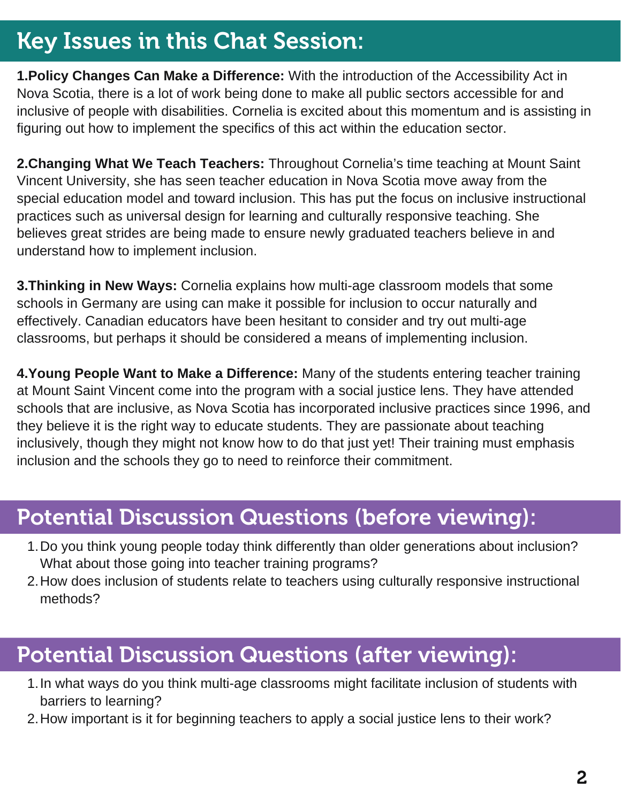## Key Issues in this Chat Session:

**1.Policy Changes Can Make a Difference:** With the introduction of the Accessibility Act in Nova Scotia, there is a lot of work being done to make all public sectors accessible for and inclusive of people with disabilities. Cornelia is excited about this momentum and is assisting in figuring out how to implement the specifics of this act within the education sector.

**2.Changing What We Teach Teachers:** Throughout Cornelia's time teaching at Mount Saint Vincent University, she has seen teacher education in Nova Scotia move away from the special education model and toward inclusion. This has put the focus on inclusive instructional practices such as universal design for learning and culturally responsive teaching. She believes great strides are being made to ensure newly graduated teachers believe in and understand how to implement inclusion.

**3.Thinking in New Ways:** Cornelia explains how multi-age classroom models that some schools in Germany are using can make it possible for inclusion to occur naturally and effectively. Canadian educators have been hesitant to consider and try out multi-age classrooms, but perhaps it should be considered a means of implementing inclusion.

**4.Young People Want to Make a Difference:** Many of the students entering teacher training at Mount Saint Vincent come into the program with a social justice lens. They have attended schools that are inclusive, as Nova Scotia has incorporated inclusive practices since 1996, and they believe it is the right way to educate students. They are passionate about teaching inclusively, though they might not know how to do that just yet! Their training must emphasis inclusion and the schools they go to need to reinforce their commitment.

#### Potential Discussion Questions (before viewing):

- 1. Do you think young people today think differently than older generations about inclusion? What about those going into teacher training programs?
- 2. How does inclusion of students relate to teachers using culturally responsive instructional methods?

#### Potential Discussion Questions (after viewing):

- 1. In what ways do you think multi-age classrooms might facilitate inclusion of students with barriers to learning?
- 2. How important is it for beginning teachers to apply a social justice lens to their work?